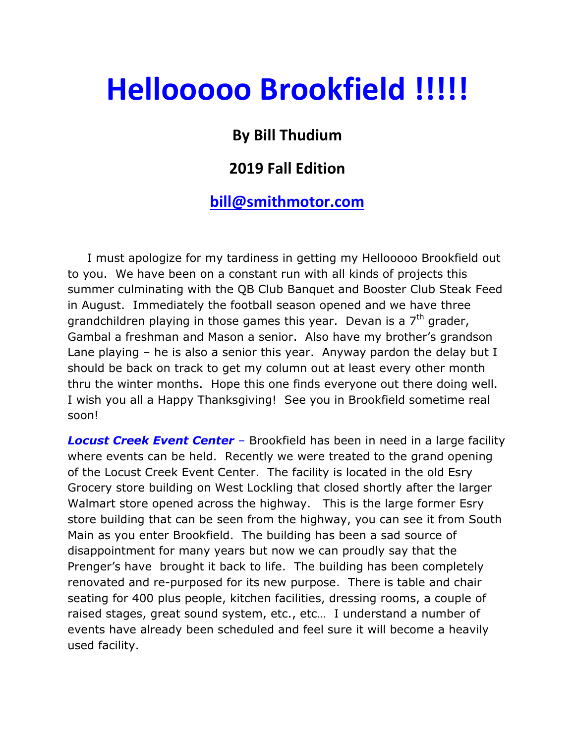# Hellooooo Brookfield !!!!!

## By Bill Thudium

### 2019 Fall Edition

#### bill@smithmotor.com

 I must apologize for my tardiness in getting my Hellooooo Brookfield out to you. We have been on a constant run with all kinds of projects this summer culminating with the QB Club Banquet and Booster Club Steak Feed in August. Immediately the football season opened and we have three grandchildren playing in those games this year. Devan is a  $7<sup>th</sup>$  grader, Gambal a freshman and Mason a senior. Also have my brother's grandson Lane playing – he is also a senior this year. Anyway pardon the delay but I should be back on track to get my column out at least every other month thru the winter months. Hope this one finds everyone out there doing well. I wish you all a Happy Thanksgiving! See you in Brookfield sometime real soon!

**Locust Creek Event Center** – Brookfield has been in need in a large facility where events can be held. Recently we were treated to the grand opening of the Locust Creek Event Center. The facility is located in the old Esry Grocery store building on West Lockling that closed shortly after the larger Walmart store opened across the highway. This is the large former Esry store building that can be seen from the highway, you can see it from South Main as you enter Brookfield. The building has been a sad source of disappointment for many years but now we can proudly say that the Prenger's have brought it back to life. The building has been completely renovated and re-purposed for its new purpose. There is table and chair seating for 400 plus people, kitchen facilities, dressing rooms, a couple of raised stages, great sound system, etc., etc… I understand a number of events have already been scheduled and feel sure it will become a heavily used facility.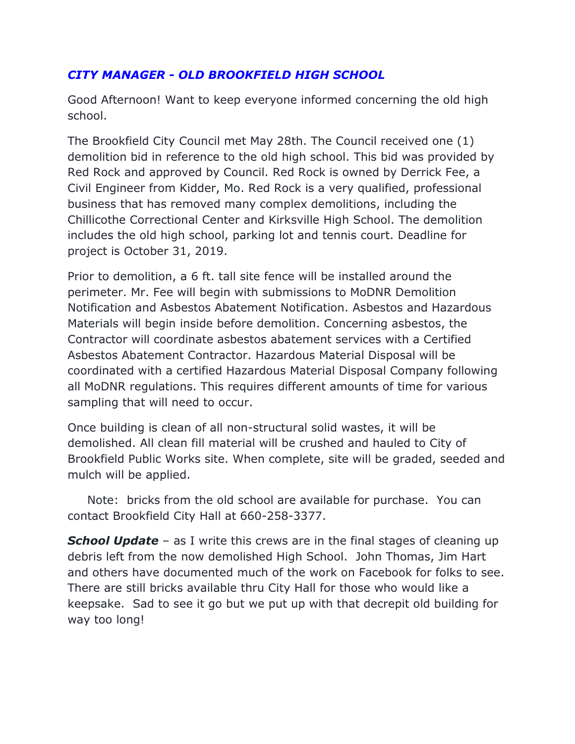#### CITY MANAGER - OLD BROOKFIELD HIGH SCHOOL

Good Afternoon! Want to keep everyone informed concerning the old high school.

The Brookfield City Council met May 28th. The Council received one (1) demolition bid in reference to the old high school. This bid was provided by Red Rock and approved by Council. Red Rock is owned by Derrick Fee, a Civil Engineer from Kidder, Mo. Red Rock is a very qualified, professional business that has removed many complex demolitions, including the Chillicothe Correctional Center and Kirksville High School. The demolition includes the old high school, parking lot and tennis court. Deadline for project is October 31, 2019.

Prior to demolition, a 6 ft. tall site fence will be installed around the perimeter. Mr. Fee will begin with submissions to MoDNR Demolition Notification and Asbestos Abatement Notification. Asbestos and Hazardous Materials will begin inside before demolition. Concerning asbestos, the Contractor will coordinate asbestos abatement services with a Certified Asbestos Abatement Contractor. Hazardous Material Disposal will be coordinated with a certified Hazardous Material Disposal Company following all MoDNR regulations. This requires different amounts of time for various sampling that will need to occur.

Once building is clean of all non-structural solid wastes, it will be demolished. All clean fill material will be crushed and hauled to City of Brookfield Public Works site. When complete, site will be graded, seeded and mulch will be applied.

 Note: bricks from the old school are available for purchase. You can contact Brookfield City Hall at 660-258-3377.

**School Update** – as I write this crews are in the final stages of cleaning up debris left from the now demolished High School. John Thomas, Jim Hart and others have documented much of the work on Facebook for folks to see. There are still bricks available thru City Hall for those who would like a keepsake. Sad to see it go but we put up with that decrepit old building for way too long!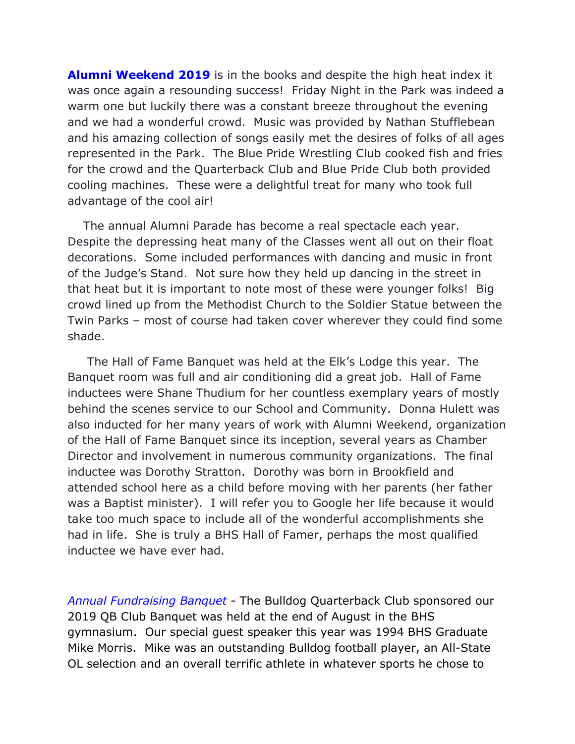**Alumni Weekend 2019** is in the books and despite the high heat index it was once again a resounding success! Friday Night in the Park was indeed a warm one but luckily there was a constant breeze throughout the evening and we had a wonderful crowd. Music was provided by Nathan Stufflebean and his amazing collection of songs easily met the desires of folks of all ages represented in the Park. The Blue Pride Wrestling Club cooked fish and fries for the crowd and the Quarterback Club and Blue Pride Club both provided cooling machines. These were a delightful treat for many who took full advantage of the cool air!

 The annual Alumni Parade has become a real spectacle each year. Despite the depressing heat many of the Classes went all out on their float decorations. Some included performances with dancing and music in front of the Judge's Stand. Not sure how they held up dancing in the street in that heat but it is important to note most of these were younger folks! Big crowd lined up from the Methodist Church to the Soldier Statue between the Twin Parks – most of course had taken cover wherever they could find some shade.

 The Hall of Fame Banquet was held at the Elk's Lodge this year. The Banquet room was full and air conditioning did a great job. Hall of Fame inductees were Shane Thudium for her countless exemplary years of mostly behind the scenes service to our School and Community. Donna Hulett was also inducted for her many years of work with Alumni Weekend, organization of the Hall of Fame Banquet since its inception, several years as Chamber Director and involvement in numerous community organizations. The final inductee was Dorothy Stratton. Dorothy was born in Brookfield and attended school here as a child before moving with her parents (her father was a Baptist minister). I will refer you to Google her life because it would take too much space to include all of the wonderful accomplishments she had in life. She is truly a BHS Hall of Famer, perhaps the most qualified inductee we have ever had.

Annual Fundraising Banquet - The Bulldog Quarterback Club sponsored our 2019 QB Club Banquet was held at the end of August in the BHS gymnasium. Our special guest speaker this year was 1994 BHS Graduate Mike Morris. Mike was an outstanding Bulldog football player, an All-State OL selection and an overall terrific athlete in whatever sports he chose to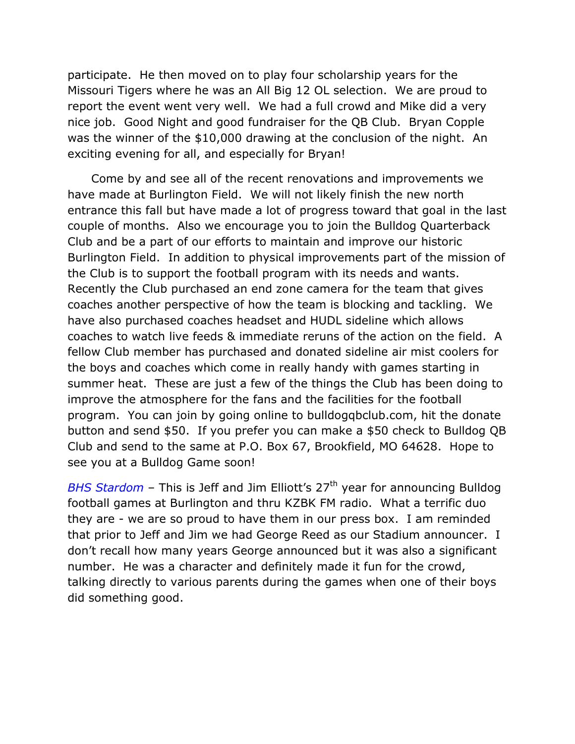participate. He then moved on to play four scholarship years for the Missouri Tigers where he was an All Big 12 OL selection. We are proud to report the event went very well. We had a full crowd and Mike did a very nice job. Good Night and good fundraiser for the QB Club. Bryan Copple was the winner of the \$10,000 drawing at the conclusion of the night. An exciting evening for all, and especially for Bryan!

 Come by and see all of the recent renovations and improvements we have made at Burlington Field. We will not likely finish the new north entrance this fall but have made a lot of progress toward that goal in the last couple of months. Also we encourage you to join the Bulldog Quarterback Club and be a part of our efforts to maintain and improve our historic Burlington Field. In addition to physical improvements part of the mission of the Club is to support the football program with its needs and wants. Recently the Club purchased an end zone camera for the team that gives coaches another perspective of how the team is blocking and tackling. We have also purchased coaches headset and HUDL sideline which allows coaches to watch live feeds & immediate reruns of the action on the field. A fellow Club member has purchased and donated sideline air mist coolers for the boys and coaches which come in really handy with games starting in summer heat. These are just a few of the things the Club has been doing to improve the atmosphere for the fans and the facilities for the football program. You can join by going online to bulldogqbclub.com, hit the donate button and send \$50. If you prefer you can make a \$50 check to Bulldog QB Club and send to the same at P.O. Box 67, Brookfield, MO 64628. Hope to see you at a Bulldog Game soon!

BHS Stardom – This is Jeff and Jim Elliott's  $27<sup>th</sup>$  year for announcing Bulldog football games at Burlington and thru KZBK FM radio. What a terrific duo they are - we are so proud to have them in our press box. I am reminded that prior to Jeff and Jim we had George Reed as our Stadium announcer. I don't recall how many years George announced but it was also a significant number. He was a character and definitely made it fun for the crowd, talking directly to various parents during the games when one of their boys did something good.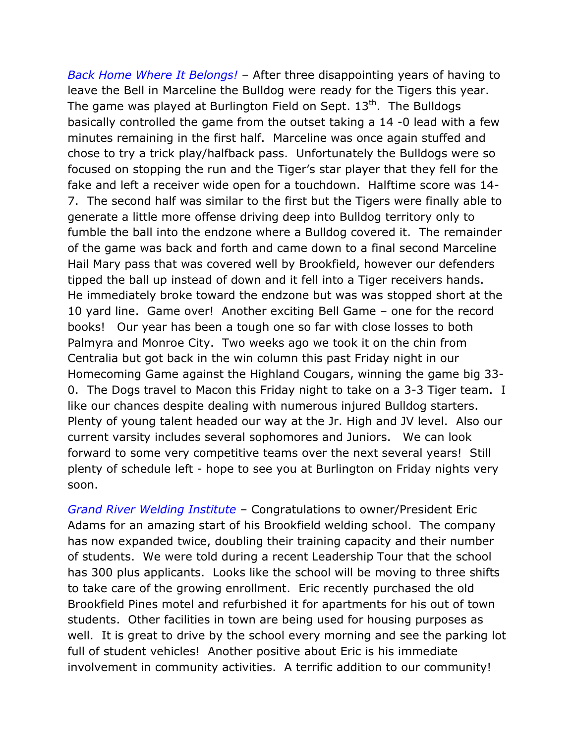Back Home Where It Belongs! - After three disappointing years of having to leave the Bell in Marceline the Bulldog were ready for the Tigers this year. The game was played at Burlington Field on Sept.  $13<sup>th</sup>$ . The Bulldogs basically controlled the game from the outset taking a 14 -0 lead with a few minutes remaining in the first half. Marceline was once again stuffed and chose to try a trick play/halfback pass. Unfortunately the Bulldogs were so focused on stopping the run and the Tiger's star player that they fell for the fake and left a receiver wide open for a touchdown. Halftime score was 14- 7. The second half was similar to the first but the Tigers were finally able to generate a little more offense driving deep into Bulldog territory only to fumble the ball into the endzone where a Bulldog covered it. The remainder of the game was back and forth and came down to a final second Marceline Hail Mary pass that was covered well by Brookfield, however our defenders tipped the ball up instead of down and it fell into a Tiger receivers hands. He immediately broke toward the endzone but was was stopped short at the 10 yard line. Game over! Another exciting Bell Game – one for the record books! Our year has been a tough one so far with close losses to both Palmyra and Monroe City. Two weeks ago we took it on the chin from Centralia but got back in the win column this past Friday night in our Homecoming Game against the Highland Cougars, winning the game big 33- 0. The Dogs travel to Macon this Friday night to take on a 3-3 Tiger team. I like our chances despite dealing with numerous injured Bulldog starters. Plenty of young talent headed our way at the Jr. High and JV level. Also our current varsity includes several sophomores and Juniors. We can look forward to some very competitive teams over the next several years! Still plenty of schedule left - hope to see you at Burlington on Friday nights very soon.

Grand River Welding Institute – Congratulations to owner/President Eric Adams for an amazing start of his Brookfield welding school. The company has now expanded twice, doubling their training capacity and their number of students. We were told during a recent Leadership Tour that the school has 300 plus applicants. Looks like the school will be moving to three shifts to take care of the growing enrollment. Eric recently purchased the old Brookfield Pines motel and refurbished it for apartments for his out of town students. Other facilities in town are being used for housing purposes as well. It is great to drive by the school every morning and see the parking lot full of student vehicles! Another positive about Eric is his immediate involvement in community activities. A terrific addition to our community!